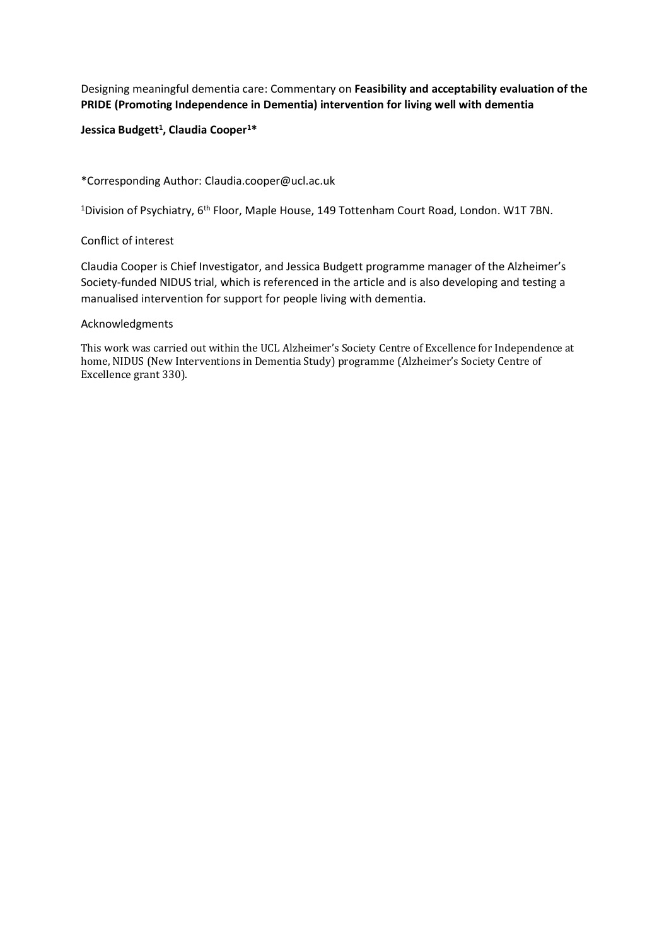Designing meaningful dementia care: Commentary on **Feasibility and acceptability evaluation of the PRIDE (Promoting Independence in Dementia) intervention for living well with dementia**

## **Jessica Budgett<sup>1</sup> , Claudia Cooper<sup>1</sup>\***

\*Corresponding Author: Claudia.cooper@ucl.ac.uk

<sup>1</sup>Division of Psychiatry, 6<sup>th</sup> Floor, Maple House, 149 Tottenham Court Road, London. W1T 7BN.

## Conflict of interest

Claudia Cooper is Chief Investigator, and Jessica Budgett programme manager of the Alzheimer's Society-funded NIDUS trial, which is referenced in the article and is also developing and testing a manualised intervention for support for people living with dementia.

## Acknowledgments

This work was carried out within the UCL Alzheimer's Society Centre of Excellence for Independence at home, NIDUS (New Interventions in Dementia Study) programme (Alzheimer's Society Centre of Excellence grant 330).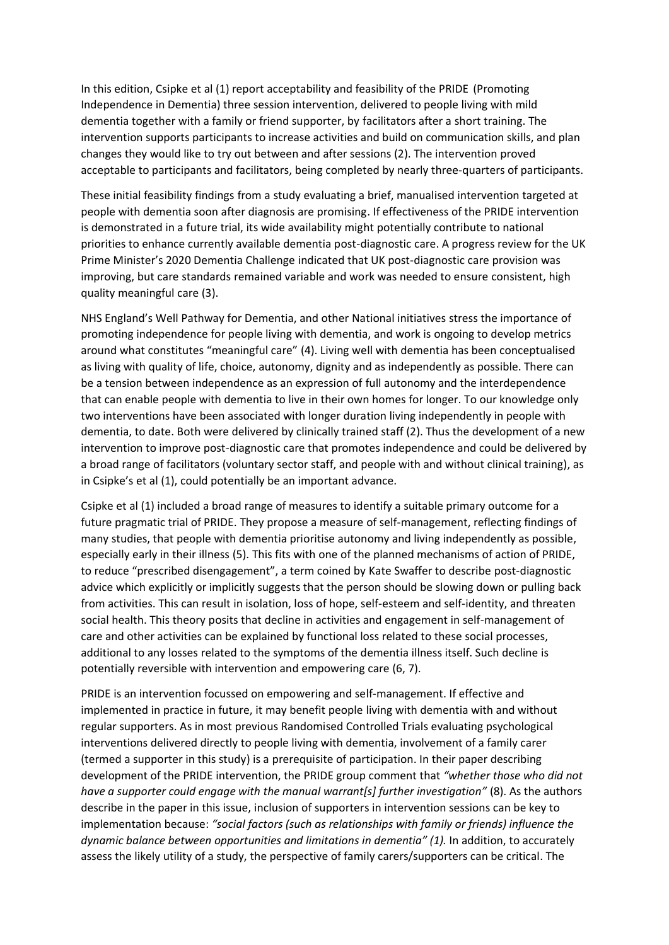In this edition, Csipke et al (1) report acceptability and feasibility of the PRIDE (Promoting Independence in Dementia) three session intervention, delivered to people living with mild dementia together with a family or friend supporter, by facilitators after a short training. The intervention supports participants to increase activities and build on communication skills, and plan changes they would like to try out between and after sessions (2). The intervention proved acceptable to participants and facilitators, being completed by nearly three-quarters of participants.

These initial feasibility findings from a study evaluating a brief, manualised intervention targeted at people with dementia soon after diagnosis are promising. If effectiveness of the PRIDE intervention is demonstrated in a future trial, its wide availability might potentially contribute to national priorities to enhance currently available dementia post-diagnostic care. A progress review for the UK Prime Minister's 2020 Dementia Challenge indicated that UK post-diagnostic care provision was improving, but care standards remained variable and work was needed to ensure consistent, high quality meaningful care (3).

NHS England's Well Pathway for Dementia, and other National initiatives stress the importance of promoting independence for people living with dementia, and work is ongoing to develop metrics around what constitutes "meaningful care" (4). Living well with dementia has been conceptualised as living with quality of life, choice, autonomy, dignity and as independently as possible. There can be a tension between independence as an expression of full autonomy and the interdependence that can enable people with dementia to live in their own homes for longer. To our knowledge only two interventions have been associated with longer duration living independently in people with dementia, to date. Both were delivered by clinically trained staff (2). Thus the development of a new intervention to improve post-diagnostic care that promotes independence and could be delivered by a broad range of facilitators (voluntary sector staff, and people with and without clinical training), as in Csipke's et al (1), could potentially be an important advance.

Csipke et al (1) included a broad range of measures to identify a suitable primary outcome for a future pragmatic trial of PRIDE. They propose a measure of self-management, reflecting findings of many studies, that people with dementia prioritise autonomy and living independently as possible, especially early in their illness (5). This fits with one of the planned mechanisms of action of PRIDE, to reduce "prescribed disengagement", a term coined by Kate Swaffer to describe post-diagnostic advice which explicitly or implicitly suggests that the person should be slowing down or pulling back from activities. This can result in isolation, loss of hope, self-esteem and self-identity, and threaten social health. This theory posits that decline in activities and engagement in self-management of care and other activities can be explained by functional loss related to these social processes, additional to any losses related to the symptoms of the dementia illness itself. Such decline is potentially reversible with intervention and empowering care (6, 7).

PRIDE is an intervention focussed on empowering and self-management. If effective and implemented in practice in future, it may benefit people living with dementia with and without regular supporters. As in most previous Randomised Controlled Trials evaluating psychological interventions delivered directly to people living with dementia, involvement of a family carer (termed a supporter in this study) is a prerequisite of participation. In their paper describing development of the PRIDE intervention, the PRIDE group comment that *"whether those who did not have a supporter could engage with the manual warrant[s] further investigation"* (8). As the authors describe in the paper in this issue, inclusion of supporters in intervention sessions can be key to implementation because: *"social factors (such as relationships with family or friends) influence the dynamic balance between opportunities and limitations in dementia" (1).* In addition, to accurately assess the likely utility of a study, the perspective of family carers/supporters can be critical. The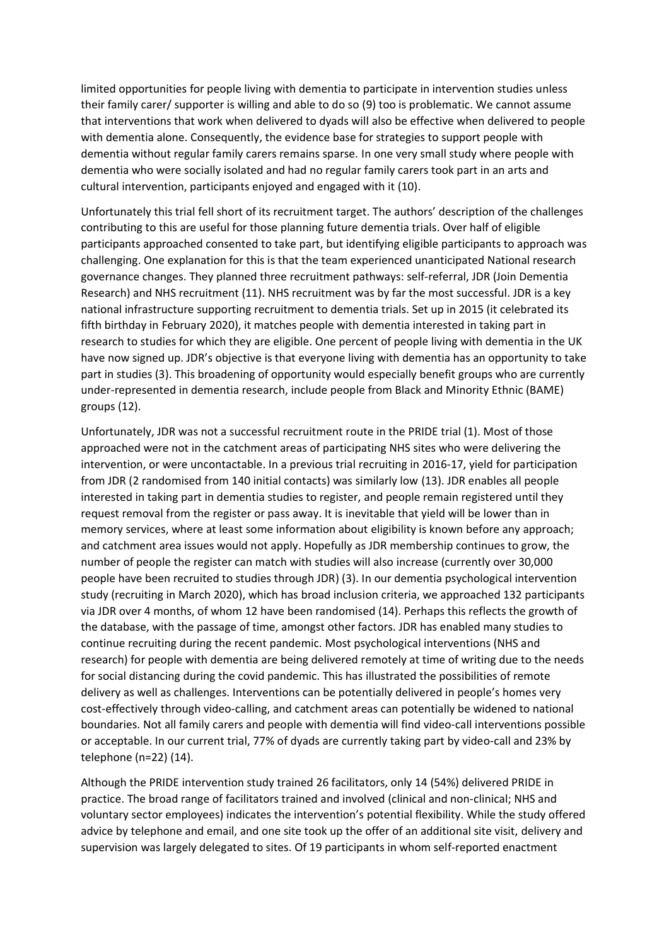limited opportunities for people living with dementia to participate in intervention studies unless their family carer/ supporter is willing and able to do so (9) too is problematic. We cannot assume that interventions that work when delivered to dyads will also be effective when delivered to people with dementia alone. Consequently, the evidence base for strategies to support people with dementia without regular family carers remains sparse. In one very small study where people with dementia who were socially isolated and had no regular family carers took part in an arts and cultural intervention, participants enjoyed and engaged with it (10).

Unfortunately this trial fell short of its recruitment target. The authors' description of the challenges contributing to this are useful for those planning future dementia trials. Over half of eligible participants approached consented to take part, but identifying eligible participants to approach was challenging. One explanation for this is that the team experienced unanticipated National research governance changes. They planned three recruitment pathways: self-referral, JDR (Join Dementia Research) and NHS recruitment (11). NHS recruitment was by far the most successful. JDR is a key national infrastructure supporting recruitment to dementia trials. Set up in 2015 (it celebrated its fifth birthday in February 2020), it matches people with dementia interested in taking part in research to studies for which they are eligible. One percent of people living with dementia in the UK have now signed up. JDR's objective is that everyone living with dementia has an opportunity to take part in studies (3). This broadening of opportunity would especially benefit groups who are currently under-represented in dementia research, include people from Black and Minority Ethnic (BAME) groups (12).

Unfortunately, JDR was not a successful recruitment route in the PRIDE trial (1). Most of those approached were not in the catchment areas of participating NHS sites who were delivering the intervention, or were uncontactable. In a previous trial recruiting in 2016-17, yield for participation from JDR (2 randomised from 140 initial contacts) was similarly low (13). JDR enables all people interested in taking part in dementia studies to register, and people remain registered until they request removal from the register or pass away. It is inevitable that yield will be lower than in memory services, where at least some information about eligibility is known before any approach; and catchment area issues would not apply. Hopefully as JDR membership continues to grow, the number of people the register can match with studies will also increase (currently over 30,000 people have been recruited to studies through JDR) (3). In our dementia psychological intervention study (recruiting in March 2020), which has broad inclusion criteria, we approached 132 participants via JDR over 4 months, of whom 12 have been randomised (14). Perhaps this reflects the growth of the database, with the passage of time, amongst other factors. JDR has enabled many studies to continue recruiting during the recent pandemic. Most psychological interventions (NHS and research) for people with dementia are being delivered remotely at time of writing due to the needs for social distancing during the covid pandemic. This has illustrated the possibilities of remote delivery as well as challenges. Interventions can be potentially delivered in people's homes very cost-effectively through video-calling, and catchment areas can potentially be widened to national boundaries. Not all family carers and people with dementia will find video-call interventions possible or acceptable. In our current trial, 77% of dyads are currently taking part by video-call and 23% by telephone (n=22) (14).

Although the PRIDE intervention study trained 26 facilitators, only 14 (54%) delivered PRIDE in practice. The broad range of facilitators trained and involved (clinical and non-clinical; NHS and voluntary sector employees) indicates the intervention's potential flexibility. While the study offered advice by telephone and email, and one site took up the offer of an additional site visit, delivery and supervision was largely delegated to sites. Of 19 participants in whom self-reported enactment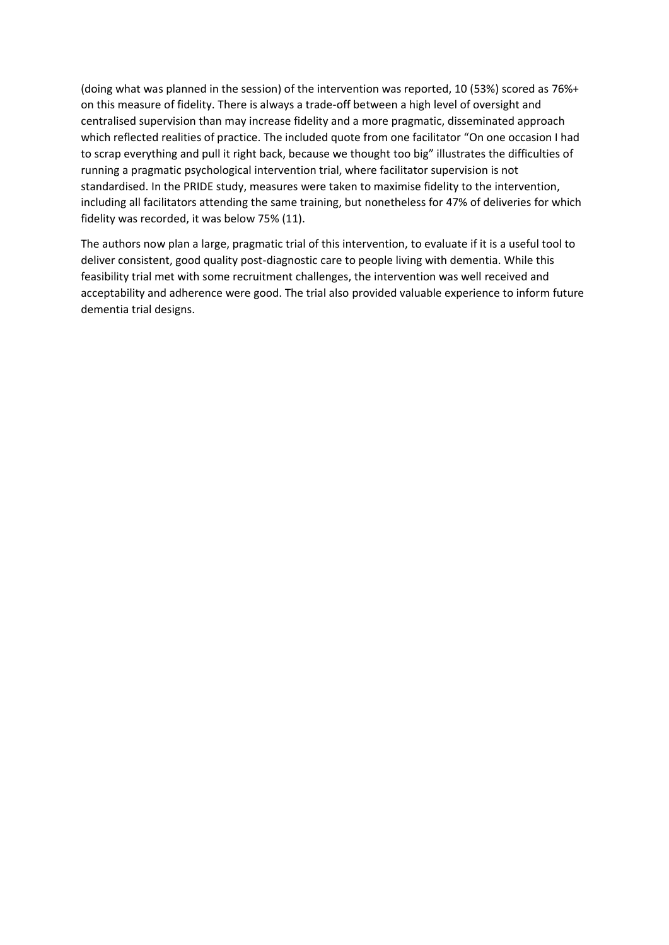(doing what was planned in the session) of the intervention was reported, 10 (53%) scored as 76%+ on this measure of fidelity. There is always a trade-off between a high level of oversight and centralised supervision than may increase fidelity and a more pragmatic, disseminated approach which reflected realities of practice. The included quote from one facilitator "On one occasion I had to scrap everything and pull it right back, because we thought too big" illustrates the difficulties of running a pragmatic psychological intervention trial, where facilitator supervision is not standardised. In the PRIDE study, measures were taken to maximise fidelity to the intervention, including all facilitators attending the same training, but nonetheless for 47% of deliveries for which fidelity was recorded, it was below 75% (11).

The authors now plan a large, pragmatic trial of this intervention, to evaluate if it is a useful tool to deliver consistent, good quality post-diagnostic care to people living with dementia. While this feasibility trial met with some recruitment challenges, the intervention was well received and acceptability and adherence were good. The trial also provided valuable experience to inform future dementia trial designs.